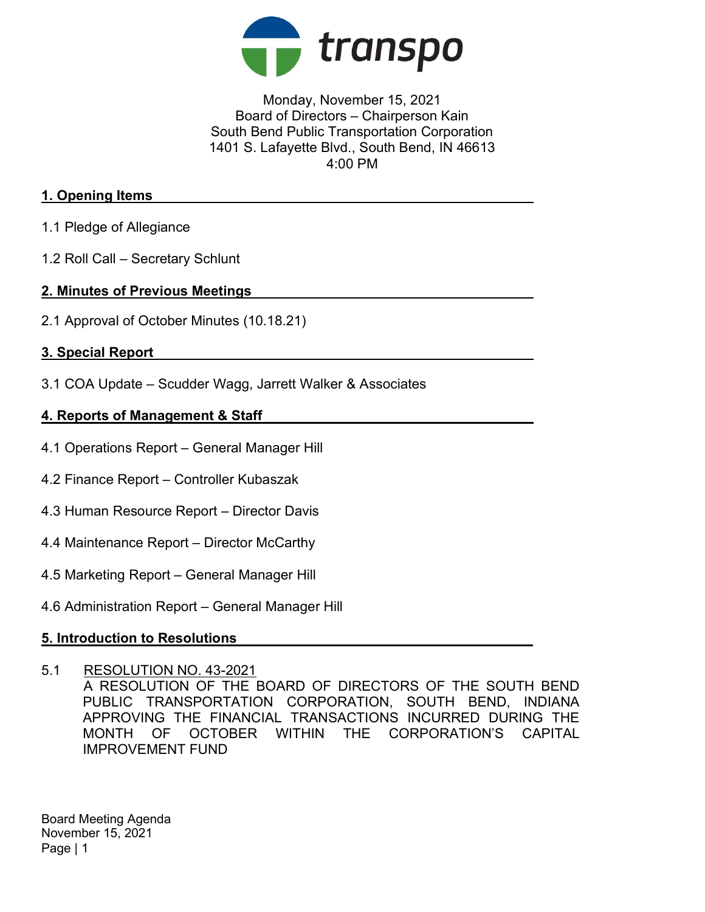

## Monday, November 15, 2021 Board of Directors – Chairperson Kain South Bend Public Transportation Corporation 1401 S. Lafayette Blvd., South Bend, IN 46613 4:00 PM

## 1. Opening Items

- 1.1 Pledge of Allegiance
- 1.2 Roll Call Secretary Schlunt

#### 2. Minutes of Previous Meetings

2.1 Approval of October Minutes (10.18.21)

### 3. Special Report

3.1 COA Update – Scudder Wagg, Jarrett Walker & Associates

### 4. Reports of Management & Staff

- 4.1 Operations Report General Manager Hill
- 4.2 Finance Report Controller Kubaszak
- 4.3 Human Resource Report Director Davis
- 4.4 Maintenance Report Director McCarthy
- 4.5 Marketing Report General Manager Hill
- 4.6 Administration Report General Manager Hill

### 5. Introduction to Resolutions

#### 5.1 RESOLUTION NO. 43-2021

A RESOLUTION OF THE BOARD OF DIRECTORS OF THE SOUTH BEND PUBLIC TRANSPORTATION CORPORATION, SOUTH BEND, INDIANA APPROVING THE FINANCIAL TRANSACTIONS INCURRED DURING THE MONTH OF OCTOBER WITHIN THE CORPORATION'S CAPITAL IMPROVEMENT FUND

Board Meeting Agenda November 15, 2021 Page | 1